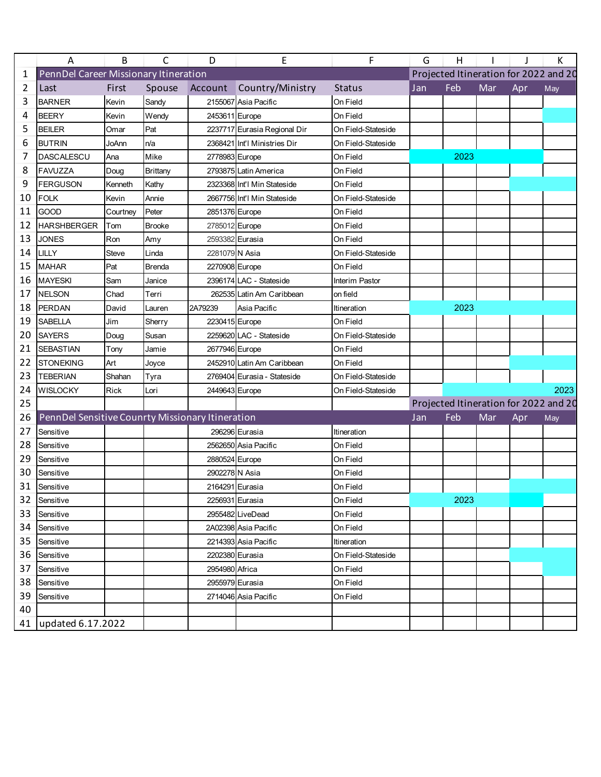|    | A                                                | B        | C             | D               | Ε                            | F                  | G   | H    |     |     | Κ                                     |
|----|--------------------------------------------------|----------|---------------|-----------------|------------------------------|--------------------|-----|------|-----|-----|---------------------------------------|
| 1  | PennDel Career Missionary Itineration            |          |               |                 |                              |                    |     |      |     |     | Projected Itineration for 2022 and 20 |
| 2  | Last                                             | First    | Spouse        | Account         | Country/Ministry             | <b>Status</b>      | Jan | Feb  | Mar | Apr | May                                   |
| 3  | <b>BARNER</b>                                    | Kevin    | Sandy         |                 | 2155067 Asia Pacific         | On Field           |     |      |     |     |                                       |
| 4  | <b>BEERY</b>                                     | Kevin    | Wendy         | 2453611 Europe  |                              | On Field           |     |      |     |     |                                       |
| 5  | <b>BEILER</b>                                    | Omar     | Pat           |                 | 2237717 Eurasia Regional Dir | On Field-Stateside |     |      |     |     |                                       |
| 6  | <b>BUTRIN</b>                                    | JoAnn    | n/a           |                 | 2368421 Int'l Ministries Dir | On Field-Stateside |     |      |     |     |                                       |
| 7  | <b>DASCALESCU</b>                                | Ana      | Mike          | 2778983 Europe  |                              | On Field           |     | 2023 |     |     |                                       |
| 8  | <b>FAVUZZA</b>                                   | Doug     | Brittany      |                 | 2793875 Latin America        | On Field           |     |      |     |     |                                       |
| 9  | <b>FERGUSON</b>                                  | Kenneth  | Kathy         |                 | 2323368 Int'l Min Stateside  | On Field           |     |      |     |     |                                       |
| 10 | <b>FOLK</b>                                      | Kevin    | Annie         |                 | 2667756 Int'l Min Stateside  | On Field-Stateside |     |      |     |     |                                       |
| 11 | <b>GOOD</b>                                      | Courtney | Peter         | 2851376 Europe  |                              | On Field           |     |      |     |     |                                       |
| 12 | <b>HARSHBERGER</b>                               | Tom      | <b>Brooke</b> | 2785012 Europe  |                              | On Field           |     |      |     |     |                                       |
| 13 | <b>JONES</b>                                     | Ron      | Amy           | 2593382 Eurasia |                              | On Field           |     |      |     |     |                                       |
| 14 | LILLY                                            | Steve    | Linda         | 2281079 N Asia  |                              | On Field-Stateside |     |      |     |     |                                       |
| 15 | <b>MAHAR</b>                                     | Pat      | Brenda        | 2270908 Europe  |                              | On Field           |     |      |     |     |                                       |
| 16 | <b>MAYESKI</b>                                   | Sam      | Janice        |                 | 2396174 LAC - Stateside      | Interim Pastor     |     |      |     |     |                                       |
| 17 | <b>NELSON</b>                                    | Chad     | Terri         |                 | 262535 Latin Am Caribbean    | on field           |     |      |     |     |                                       |
| 18 | PERDAN                                           | David    | Lauren        | 2A79239         | Asia Pacific                 | Itineration        |     | 2023 |     |     |                                       |
| 19 | <b>SABELLA</b>                                   | Jim      | Sherry        | 2230415 Europe  |                              | On Field           |     |      |     |     |                                       |
| 20 | <b>SAYERS</b>                                    | Doug     | Susan         |                 | 2259620 LAC - Stateside      | On Field-Stateside |     |      |     |     |                                       |
| 21 | <b>SEBASTIAN</b>                                 | Tony     | Jamie         | 2677946 Europe  |                              | On Field           |     |      |     |     |                                       |
| 22 | <b>STONEKING</b>                                 | Art      | Joyce         |                 | 2452910 Latin Am Caribbean   | On Field           |     |      |     |     |                                       |
| 23 | <b>TEBERIAN</b>                                  | Shahan   | Tyra          |                 | 2769404 Eurasia - Stateside  | On Field-Stateside |     |      |     |     |                                       |
| 24 | <b>WISLOCKY</b>                                  | Rick     | Lori          | 2449643 Europe  |                              | On Field-Stateside |     |      |     |     | 2023                                  |
| 25 |                                                  |          |               |                 |                              |                    |     |      |     |     | Projected Itineration for 2022 and 20 |
| 26 | PennDel Sensitive Counrty Missionary Itineration |          |               |                 |                              |                    | Jan | Feb  | Mar | Apr | May                                   |
| 27 | Sensitive                                        |          |               |                 | 296296 Eurasia               | Itineration        |     |      |     |     |                                       |
| 28 | Sensitive                                        |          |               |                 | 2562650 Asia Pacific         | On Field           |     |      |     |     |                                       |
| 29 | Sensitive                                        |          |               | 2880524 Europe  |                              | On Field           |     |      |     |     |                                       |
| 30 | Sensitive                                        |          |               | 2902278 N Asia  |                              | On Field           |     |      |     |     |                                       |
| 31 | Sensitive                                        |          |               |                 | 2164291 Eurasia              | On Field           |     |      |     |     |                                       |
|    | 32 Sensitive                                     |          |               |                 | 2256931 Eurasia              | On Field           |     | 2023 |     |     |                                       |
| 33 | Sensitive                                        |          |               |                 | 2955482 LiveDead             | On Field           |     |      |     |     |                                       |
| 34 | Sensitive                                        |          |               |                 | 2A02398 Asia Pacific         | On Field           |     |      |     |     |                                       |
| 35 | Sensitive                                        |          |               |                 | 2214393 Asia Pacific         | Itineration        |     |      |     |     |                                       |
| 36 | Sensitive                                        |          |               | 2202380 Eurasia |                              | On Field-Stateside |     |      |     |     |                                       |
| 37 | Sensitive                                        |          |               | 2954980 Africa  |                              | On Field           |     |      |     |     |                                       |
| 38 | Sensitive                                        |          |               |                 | 2955979 Eurasia              | On Field           |     |      |     |     |                                       |
| 39 | Sensitive                                        |          |               |                 | 2714046 Asia Pacific         | On Field           |     |      |     |     |                                       |
| 40 |                                                  |          |               |                 |                              |                    |     |      |     |     |                                       |
|    | 41   updated 6.17.2022                           |          |               |                 |                              |                    |     |      |     |     |                                       |